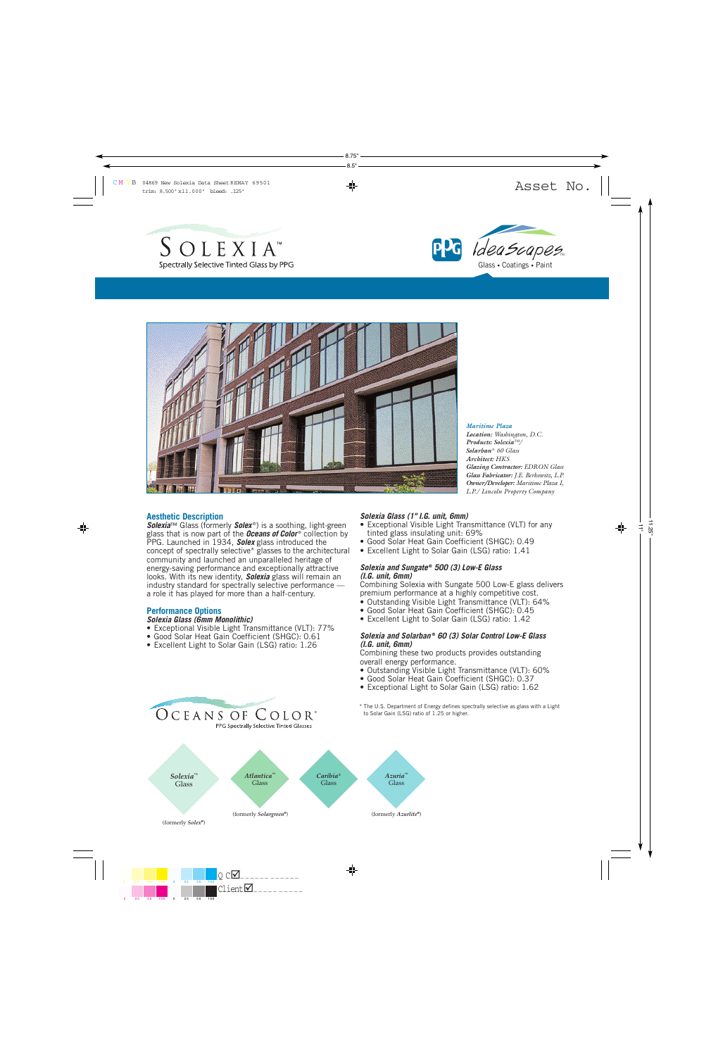





#### *Maritime Plaza*

*Location: Washington, D.C. Products: Solexia™/ Solarban* ® *60 Glass Architect: HKS Glazing Contractor: EDRON Glass Glass Fabricator: J.E. Berkowitz, L.P. Owner/Developer: Maritime Plaza I, L.P./ Lincoln Property Company*

### **Aesthetic Description**

**Solexia**™ Glass (formerly **Solex**<sup>®</sup>) is a soothing, light-green glass that is now part of the *Oceans of Color* ® collection by PPG. Launched in 1934, *Solex* glass introduced the concept of spectrally selective\* glasses to the architectural community and launched an unparalleled heritage of energy-saving performance and exceptionally attractive looks. With its new identity, *Solexia* glass will remain an industry standard for spectrally selective performance a role it has played for more than a half-century.

### **Performance Options**

# *Solexia Glass (6mm Monolithic)*

- Exceptional Visible Light Transmittance (VLT): 77%
- Good Solar Heat Gain Coefficient (SHGC): 0.61
- Excellent Light to Solar Gain (LSG) ratio: 1.26

OCEANS OF COLOR®

PPG Spectrally Selective Tinted Glasses

#### *Solexia Glass (1" I.G. unit, 6mm)*

- Exceptional Visible Light Transmittance (VLT) for any tinted glass insulating unit: 69%
- Good Solar Heat Gain Coefficient (SHGC): 0.49
- Excellent Light to Solar Gain (LSG) ratio: 1.41

### *Solexia and Sungate* **®** *500 (3) Low-E Glass (I.G. unit, 6mm)*

Combining Solexia with Sungate 500 Low-E glass delivers premium performance at a highly competitive cost.

- Outstanding Visible Light Transmittance (VLT): 64%
- Good Solar Heat Gain Coefficient (SHGC): 0.45
- Excellent Light to Solar Gain (LSG) ratio: 1.42

#### *Solexia and Solarban* **®** *60 (3) Solar Control Low-E Glass (I.G. unit, 6mm)*

Combining these two products provides outstanding overall energy performance.

- Outstanding Visible Light Transmittance (VLT): 60%
- Good Solar Heat Gain Coefficient (SHGC): 0.37
- Exceptional Light to Solar Gain (LSG) ratio: 1.62
- \* The U.S. Department of Energy defines spectrally selective as glass with a Light to Solar Gain (LSG) ratio of 1.25 or higher.